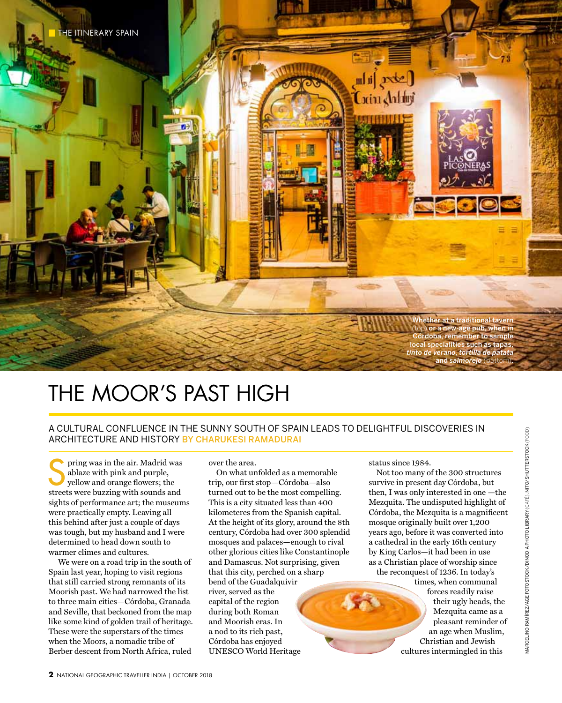

## THE MOOR'S PAST HIGH

## A cultural confluence in the sunny south of Spain leads to delightful discoveries in architecture and history By CHARUKESI RAMADURAI

pring was in the air. Madrid was ablaze with pink and purple, yellow and orange flowers; the streets were buzzing with sounds and sights of performance art; the museums were practically empty. Leaving all this behind after just a couple of days was tough, but my husband and I were determined to head down south to warmer climes and cultures.

 We were on a road trip in the south of Spain last year, hoping to visit regions that still carried strong remnants of its Moorish past. We had narrowed the list to three main cities—Córdoba, Granada and Seville, that beckoned from the map like some kind of golden trail of heritage. These were the superstars of the times when the Moors, a nomadic tribe of Berber descent from North Africa, ruled

over the area.

On what unfolded as a memorable trip, our first stop—Córdoba—also turned out to be the most compelling. This is a city situated less than 400 kilometeres from the Spanish capital. At the height of its glory, around the 8th century, Córdoba had over 300 splendid mosques and palaces—enough to rival other glorious cities like Constantinople and Damascus. Not surprising, given that this city, perched on a sharp bend of the Guadalquivir river, served as the capital of the region during both Roman and Moorish eras. In a nod to its rich past, Córdoba has enjoyed UNESCO World Heritage

status since 1984.

Not too many of the 300 structures survive in present day Córdoba, but then, I was only interested in one —the Mezquita. The undisputed highlight of Córdoba, the Mezquita is a magnificent mosque originally built over 1,200 years ago, before it was converted into a cathedral in the early 16th century by King Carlos—it had been in use as a Christian place of worship since the reconquest of 1236. In today's

> times, when communal forces readily raise their ugly heads, the Mezquita came as a pleasant reminder of an age when Muslim, Christian and Jewish cultures intermingled in this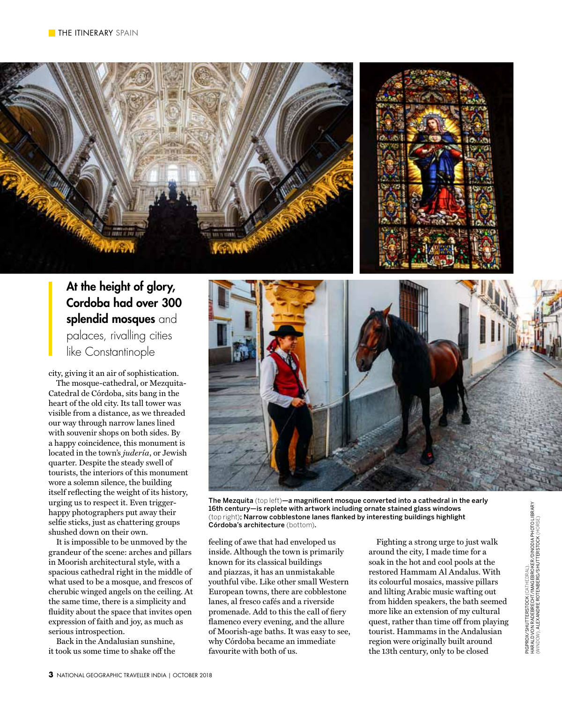

## At the height of glory, Cordoba had over 300 splendid mosques and palaces, rivalling cities like Constantinople

city, giving it an air of sophistication.

The mosque-cathedral, or Mezquita-Catedral de Córdoba, sits bang in the heart of the old city. Its tall tower was visible from a distance, as we threaded our way through narrow lanes lined with souvenir shops on both sides. By a happy coincidence, this monument is located in the town's *judería*, or Jewish quarter. Despite the steady swell of tourists, the interiors of this monument wore a solemn silence, the building itself reflecting the weight of its history, urging us to respect it. Even triggerhappy photographers put away their selfie sticks, just as chattering groups shushed down on their own.

It is impossible to be unmoved by the grandeur of the scene: arches and pillars in Moorish architectural style, with a spacious cathedral right in the middle of what used to be a mosque, and frescos of cherubic winged angels on the ceiling. At the same time, there is a simplicity and fluidity about the space that invites open expression of faith and joy, as much as serious introspection.

Back in the Andalusian sunshine, it took us some time to shake off the



The Mezquita (top left)—a magnificent mosque converted into a cathedral in the early 16th century—is replete with artwork including ornate stained glass windows (top right); Narrow cobblestone lanes flanked by interesting buildings highlight Córdoba's architecture (bottom).

feeling of awe that had enveloped us inside. Although the town is primarily known for its classical buildings and piazzas, it has an unmistakable youthful vibe. Like other small Western European towns, there are cobblestone lanes, al fresco cafés and a riverside promenade. Add to this the call of fiery flamenco every evening, and the allure of Moorish-age baths. It was easy to see, why Córdoba became an immediate favourite with both of us.

Fighting a strong urge to just walk around the city, I made time for a soak in the hot and cool pools at the restored Hammam Al Andalus. With its colourful mosaics, massive pillars and lilting Arabic music wafting out from hidden speakers, the bath seemed more like an extension of my cultural quest, rather than time off from playing tourist. Hammams in the Andalusian region were originally built around the 13th century, only to be closed